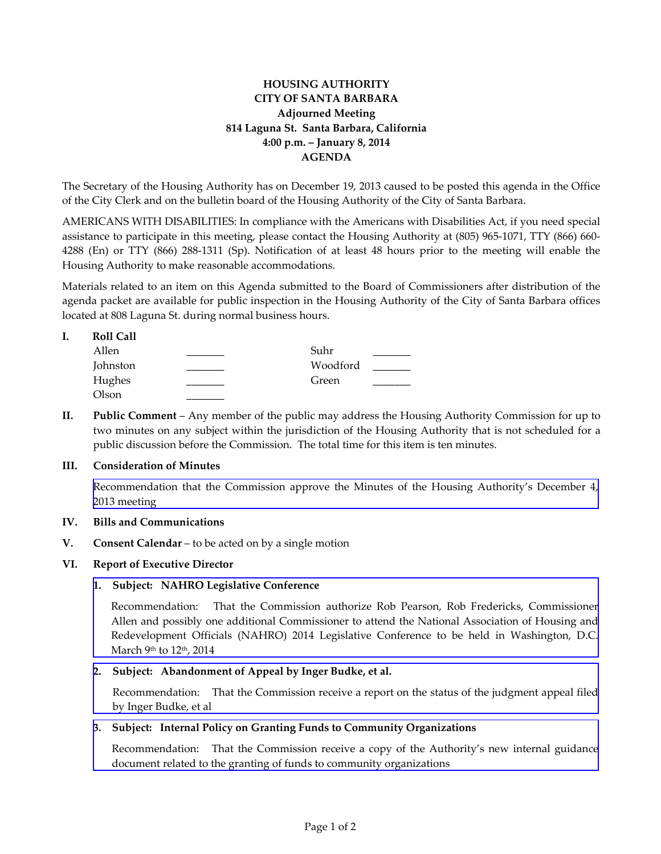# **HOUSING AUTHORITY CITY OF SANTA BARBARA Adjourned Meeting 814 Laguna St. Santa Barbara, California 4:00 p.m. – January 8, 2014 AGENDA**

The Secretary of the Housing Authority has on December 19, 2013 caused to be posted this agenda in the Office of the City Clerk and on the bulletin board of the Housing Authority of the City of Santa Barbara.

AMERICANS WITH DISABILITIES: In compliance with the Americans with Disabilities Act, if you need special assistance to participate in this meeting, please contact the Housing Authority at (805) 965-1071, TTY (866) 660- 4288 (En) or TTY (866) 288-1311 (Sp). Notification of at least 48 hours prior to the meeting will enable the Housing Authority to make reasonable accommodations.

Materials related to an item on this Agenda submitted to the Board of Commissioners after distribution of the agenda packet are available for public inspection in the Housing Authority of the City of Santa Barbara offices located at 808 Laguna St. during normal business hours.

## **I. Roll Call**

| Allen    | Suhr     |  |
|----------|----------|--|
| Johnston | Woodford |  |
| Hughes   | Green    |  |
| Olson    |          |  |

**II. Public Comment** – Any member of the public may address the Housing Authority Commission for up to two minutes on any subject within the jurisdiction of the Housing Authority that is not scheduled for a public discussion before the Commission. The total time for this item is ten minutes.

### **III. Consideration of Minutes**

[Recommendation that the Commission approve the Minutes of the Housing Authority's December 4,](http://www.hacsb.org/Library/agendas_minutes/2014/agenda_packet/Agenda_Packet_2014_01_08/item_III_I_2014_01_08.pdf) 2013 meeting

### **IV. Bills and Communications**

**V. Consent Calendar** – to be acted on by a single motion

### **VI. Report of Executive Director**

### **1. Subject: NAHRO Legislative Conference**

Recommendation: That the Commission authorize Rob Pearson, Rob Fredericks, Commissioner [Allen and possibly one additional Commissioner to attend the National Association of Housing and](http://www.hacsb.org/Library/agendas_minutes/2014/agenda_packet/Agenda_Packet_2014_01_08/item_VI_I_2014_01_08.pdf) Redevelopment Officials (NAHRO) 2014 Legislative Conference to be held in Washington, D.C. March 9<sup>th</sup> to 12<sup>th</sup>, 2014

### **2. Subject: Abandonment of Appeal by Inger Budke, et al.**

[Recommendation: That the Commission receive a report on the status of the judgment appeal filed](http://www.hacsb.org/Library/agendas_minutes/2014/agenda_packet/Agenda_Packet_2014_01_08/item_VI_II_2014_01_08.pdf) by Inger Budke, et al

#### **3. Subject: Internal Policy on Granting Funds to Community Organizations**

[Recommendation: That the Commission receive a copy of the Authority's new internal guidance](http://www.hacsb.org/Library/agendas_minutes/2014/agenda_packet/Agenda_Packet_2014_01_08/item_VI_III_2014_01_08.pdf)  document related to the granting of funds to community organizations